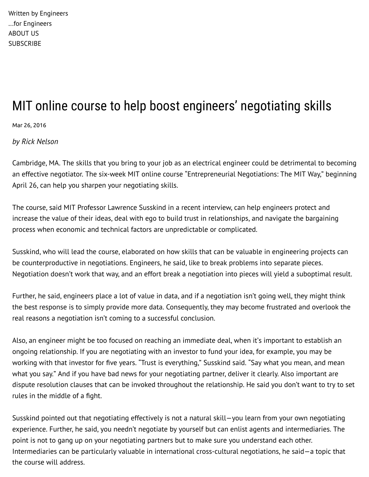Written by Engineers ...for Engineers ABOUT US **SUBSCRIBE** 

## MIT online course to help boost engineers' negotiating skills

Mar 26, 2016

*by Rick Nelson*

Cambridge, MA. The skills that you bring to your job as an electrical engineer could be detrimental to becoming an effective negotiator. The six-week MIT online course "Entrepreneurial Negotiations: The MIT Way," beginning April 26, can help you sharpen your negotiating skills.

The course, said MIT Professor Lawrence Susskind in a recent interview, can help engineers protect and increase the value of their ideas, deal with ego to build trust in relationships, and navigate the bargaining process when economic and technical factors are unpredictable or complicated.

Susskind, who will lead the course, elaborated on how skills that can be valuable in engineering projects can be counterproductive in negotiations. Engineers, he said, like to break problems into separate pieces. Negotiation doesn't work that way, and an effort break a negotiation into pieces will yield a suboptimal result.

Further, he said, engineers place a lot of value in data, and if a negotiation isn't going well, they might think the best response is to simply provide more data. Consequently, they may become frustrated and overlook the real reasons a negotiation isn't coming to a successful conclusion.

Also, an engineer might be too focused on reaching an immediate deal, when it's important to establish an ongoing relationship. If you are negotiating with an investor to fund your idea, for example, you may be working with that investor for five years. "Trust is everything," Susskind said. "Say what you mean, and mean what you say." And if you have bad news for your negotiating partner, deliver it clearly. Also important are dispute resolution clauses that can be invoked throughout the relationship. He said you don't want to try to set rules in the middle of a fight.

Susskind pointed out that negotiating effectively is not a natural skill—you learn from your own negotiating experience. Further, he said, you needn't negotiate by yourself but can enlist agents and intermediaries. The point is not to gang up on your negotiating partners but to make sure you understand each other. Intermediaries can be particularly valuable in international cross-cultural negotiations, he said—a topic that the course will address.